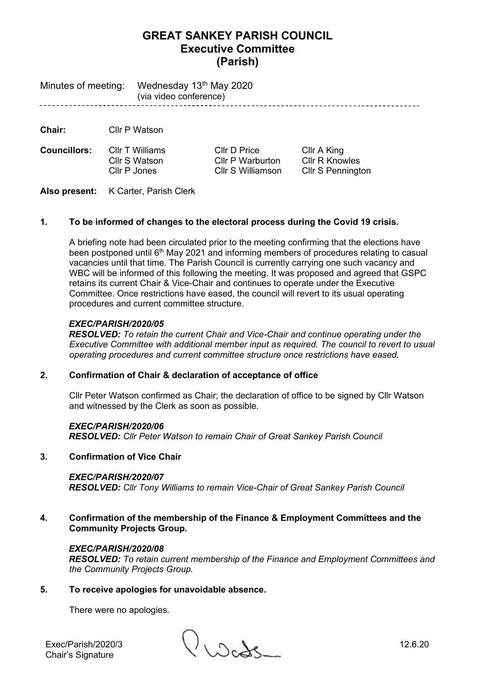# **GREAT SANKEY PARISH COUNCIL Executive Committee (Parish)**

Minutes of meeting: Wednesday 13<sup>th</sup> May 2020 (via video conference) -----------------------------

**Chair:** Cllr P Watson

**Councillors:** Cllr T Williams Cllr D Price Cllr A King

Cllr S Watson Cllr P Warburton Cllr R Knowles Cllr P Jones Cllr S Williamson Cllr S Pennington

**Also present:** K Carter, Parish Clerk

# **1. To be informed of changes to the electoral process during the Covid 19 crisis.**

A briefing note had been circulated prior to the meeting confirming that the elections have been postponed until 6th May 2021 and informing members of procedures relating to casual vacancies until that time. The Parish Council is currently carrying one such vacancy and WBC will be informed of this following the meeting. It was proposed and agreed that GSPC retains its current Chair & Vice-Chair and continues to operate under the Executive Committee. Once restrictions have eased, the council will revert to its usual operating procedures and current committee structure.

## *EXEC/PARISH/2020/05*

*RESOLVED: To retain the current Chair and Vice-Chair and continue operating under the Executive Committee with additional member input as required. The council to revert to usual operating procedures and current committee structure once restrictions have eased.*

# **2. Confirmation of Chair & declaration of acceptance of office**

Cllr Peter Watson confirmed as Chair; the declaration of office to be signed by Cllr Watson and witnessed by the Clerk as soon as possible.

## *EXEC/PARISH/2020/06*

*RESOLVED: Cllr Peter Watson to remain Chair of Great Sankey Parish Council*

# **3. Confirmation of Vice Chair**

## *EXEC/PARISH/2020/07*

*RESOLVED: Cllr Tony Williams to remain Vice-Chair of Great Sankey Parish Council*

**4. Confirmation of the membership of the Finance & Employment Committees and the Community Projects Group.** 

## *EXEC/PARISH/2020/08*

*RESOLVED: To retain current membership of the Finance and Employment Committees and the Community Projects Group.*

## **5. To receive apologies for unavoidable absence.**

There were no apologies.

Chair's Signature

Exec/Parish/2020/3 ()<br>Chairle Cinnature ()<br>Chairle Cinnature ()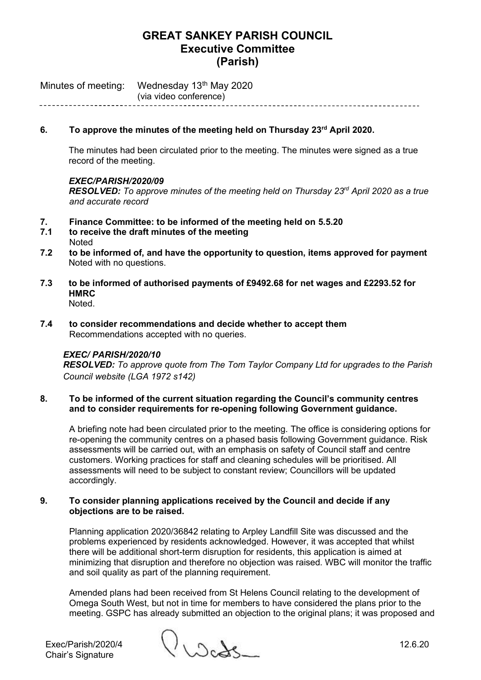# **GREAT SANKEY PARISH COUNCIL Executive Committee (Parish)**

Minutes of meeting: Wednesday 13<sup>th</sup> May 2020 (via video conference)

### **6. To approve the minutes of the meeting held on Thursday 23rd April 2020.**

The minutes had been circulated prior to the meeting. The minutes were signed as a true record of the meeting.

#### *EXEC/PARISH/2020/09*

*RESOLVED: To approve minutes of the meeting held on Thursday 23rd April 2020 as a true and accurate record*

- **7. Finance Committee: to be informed of the meeting held on 5.5.20**
- **7.1 to receive the draft minutes of the meeting Noted**
- **7.2 to be informed of, and have the opportunity to question, items approved for payment**  Noted with no questions.
- **7.3 to be informed of authorised payments of £9492.68 for net wages and £2293.52 for HMRC** Noted.
- **7.4 to consider recommendations and decide whether to accept them** Recommendations accepted with no queries.

#### *EXEC/ PARISH/2020/10*

*RESOLVED: To approve quote from The Tom Taylor Company Ltd for upgrades to the Parish Council website (LGA 1972 s142)*

#### **8. To be informed of the current situation regarding the Council's community centres and to consider requirements for re-opening following Government guidance.**

A briefing note had been circulated prior to the meeting. The office is considering options for re-opening the community centres on a phased basis following Government guidance. Risk assessments will be carried out, with an emphasis on safety of Council staff and centre customers. Working practices for staff and cleaning schedules will be prioritised. All assessments will need to be subject to constant review; Councillors will be updated accordingly.

#### **9. To consider planning applications received by the Council and decide if any objections are to be raised.**

Planning application 2020/36842 relating to Arpley Landfill Site was discussed and the problems experienced by residents acknowledged. However, it was accepted that whilst there will be additional short-term disruption for residents, this application is aimed at minimizing that disruption and therefore no objection was raised. WBC will monitor the traffic and soil quality as part of the planning requirement.

Amended plans had been received from St Helens Council relating to the development of Omega South West, but not in time for members to have considered the plans prior to the meeting. GSPC has already submitted an objection to the original plans; it was proposed and

Exec/Parish/2020/4 12.6.20